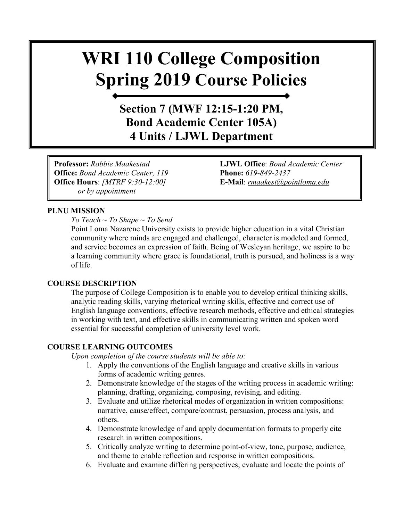# **WRI 110 College Composition Spring 2019 Course Policies**

**Section 7 (MWF 12:15-1:20 PM, Bond Academic Center 105A) 4 Units / LJWL Department**

**Professor:** *Robbie Maakestad* **LJWL Office**: *Bond Academic Center*  **Office:** *Bond Academic Center, 119* **Phone:** *619-849-2437* **Office Hours**: *[MTRF 9:30-12:00]* **E-Mail**: *[rmaakest@pointloma.edu](mailto:rmaakest@pointloma.edu)  or by appointment*

#### **PLNU MISSION**

*To Teach ~ To Shape ~ To Send* 

Point Loma Nazarene University exists to provide higher education in a vital Christian community where minds are engaged and challenged, character is modeled and formed, and service becomes an expression of faith. Being of Wesleyan heritage, we aspire to be a learning community where grace is foundational, truth is pursued, and holiness is a way of life.

#### **COURSE DESCRIPTION**

The purpose of College Composition is to enable you to develop critical thinking skills, analytic reading skills, varying rhetorical writing skills, effective and correct use of English language conventions, effective research methods, effective and ethical strategies in working with text, and effective skills in communicating written and spoken word essential for successful completion of university level work.

#### **COURSE LEARNING OUTCOMES**

*Upon completion of the course students will be able to:*

- 1. Apply the conventions of the English language and creative skills in various forms of academic writing genres.
- 2. Demonstrate knowledge of the stages of the writing process in academic writing: planning, drafting, organizing, composing, revising, and editing.
- 3. Evaluate and utilize rhetorical modes of organization in written compositions: narrative, cause/effect, compare/contrast, persuasion, process analysis, and others.
- 4. Demonstrate knowledge of and apply documentation formats to properly cite research in written compositions.
- 5. Critically analyze writing to determine point-of-view, tone, purpose, audience, and theme to enable reflection and response in written compositions.
- 6. Evaluate and examine differing perspectives; evaluate and locate the points of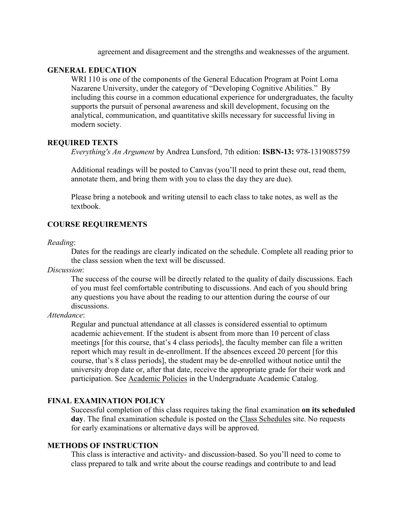agreement and disagreement and the strengths and weaknesses of the argument.

#### **GENERAL EDUCATION**

WRI 110 is one of the components of the General Education Program at Point Loma Nazarene University, under the category of "Developing Cognitive Abilities." By including this course in a common educational experience for undergraduates, the faculty supports the pursuit of personal awareness and skill development, focusing on the analytical, communication, and quantitative skills necessary for successful living in modern society.

#### **REQUIRED TEXTS**

*Everything's An Argument* by Andrea Lunsford, 7th edition: **ISBN-13:** 978-1319085759

Additional readings will be posted to Canvas (you'll need to print these out, read them, annotate them, and bring them with you to class the day they are due).

Please bring a notebook and writing utensil to each class to take notes, as well as the textbook.

#### **COURSE REQUIREMENTS**

#### *Reading*:

Dates for the readings are clearly indicated on the schedule. Complete all reading prior to the class session when the text will be discussed.

*Discussion*:

The success of the course will be directly related to the quality of daily discussions. Each of you must feel comfortable contributing to discussions. And each of you should bring any questions you have about the reading to our attention during the course of our discussions.

#### *Attendance*:

Regular and punctual attendance at all classes is considered essential to optimum academic achievement. If the student is absent from more than 10 percent of class meetings [for this course, that's 4 class periods], the faculty member can file a written report which may result in de-enrollment. If the absences exceed 20 percent [for this course, that's 8 class periods], the student may be de-enrolled without notice until the university drop date or, after that date, receive the appropriate grade for their work and participation. See [Academic Policies](http://catalog.pointloma.edu/content.php?catoid=18&navoid=1278) in the Undergraduate Academic Catalog.

#### **FINAL EXAMINATION POLICY**

Successful completion of this class requires taking the final examination **on its scheduled day**. The final examination schedule is posted on the [Class Schedules](http://www.pointloma.edu/experience/academics/class-schedules) site. No requests for early examinations or alternative days will be approved.

#### **METHODS OF INSTRUCTION**

This class is interactive and activity- and discussion-based. So you'll need to come to class prepared to talk and write about the course readings and contribute to and lead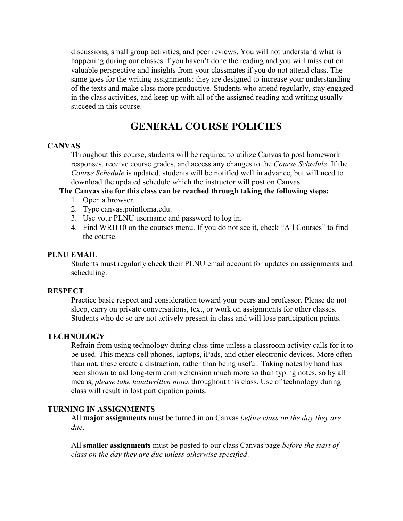discussions, small group activities, and peer reviews. You will not understand what is happening during our classes if you haven't done the reading and you will miss out on valuable perspective and insights from your classmates if you do not attend class. The same goes for the writing assignments: they are designed to increase your understanding of the texts and make class more productive. Students who attend regularly, stay engaged in the class activities, and keep up with all of the assigned reading and writing usually succeed in this course.

# **GENERAL COURSE POLICIES**

#### **CANVAS**

Throughout this course, students will be required to utilize Canvas to post homework responses, receive course grades, and access any changes to the *Course Schedule*. If the *Course Schedule* is updated, students will be notified well in advance, but will need to download the updated schedule which the instructor will post on Canvas.

#### **The Canvas site for this class can be reached through taking the following steps:**

- 1. Open a browser.
- 2. Type [canvas.pointloma.edu.](http://canvas.pointloma.edu/)
- 3. Use your PLNU username and password to log in.
- 4. Find WRI110 on the courses menu. If you do not see it, check "All Courses" to find the course.

#### **PLNU EMAIL**

Students must regularly check their PLNU email account for updates on assignments and scheduling.

#### **RESPECT**

Practice basic respect and consideration toward your peers and professor. Please do not sleep, carry on private conversations, text, or work on assignments for other classes. Students who do so are not actively present in class and will lose participation points.

#### **TECHNOLOGY**

Refrain from using technology during class time unless a classroom activity calls for it to be used. This means cell phones, laptops, iPads, and other electronic devices. More often than not, these create a distraction, rather than being useful. Taking notes by hand has been shown to aid long-term comprehension much more so than typing notes, so by all means, *please take handwritten notes* throughout this class. Use of technology during class will result in lost participation points.

#### **TURNING IN ASSIGNMENTS**

All **major assignments** must be turned in on Canvas *before class on the day they are due*.

All **smaller assignments** must be posted to our class Canvas page *before the start of class on the day they are due unless otherwise specified*.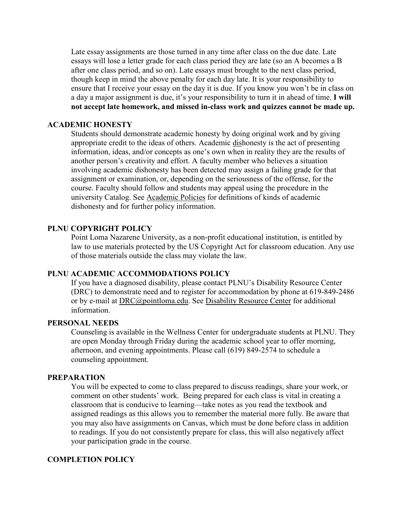Late essay assignments are those turned in any time after class on the due date. Late essays will lose a letter grade for each class period they are late (so an A becomes a B after one class period, and so on). Late essays must brought to the next class period, though keep in mind the above penalty for each day late. It is your responsibility to ensure that I receive your essay on the day it is due. If you know you won't be in class on a day a major assignment is due, it's your responsibility to turn it in ahead of time. **I will not accept late homework, and missed in-class work and quizzes cannot be made up.** 

#### **ACADEMIC HONESTY**

Students should demonstrate academic honesty by doing original work and by giving appropriate credit to the ideas of others. Academic dishonesty is the act of presenting information, ideas, and/or concepts as one's own when in reality they are the results of another person's creativity and effort. A faculty member who believes a situation involving academic dishonesty has been detected may assign a failing grade for that assignment or examination, or, depending on the seriousness of the offense, for the course. Faculty should follow and students may appeal using the procedure in the university Catalog. See [Academic Policies](http://catalog.pointloma.edu/content.php?catoid=18&navoid=1278) for definitions of kinds of academic dishonesty and for further policy information.

#### **PLNU COPYRIGHT POLICY**

Point Loma Nazarene University, as a non-profit educational institution, is entitled by law to use materials protected by the US Copyright Act for classroom education. Any use of those materials outside the class may violate the law.

#### **PLNU ACADEMIC ACCOMMODATIONS POLICY**

If you have a diagnosed disability, please contact PLNU's Disability Resource Center (DRC) to demonstrate need and to register for accommodation by phone at 619-849-2486 or by e-mail at [DRC@pointloma.edu.](mailto:DRC@pointloma.edu) See [Disability Resource Center](http://www.pointloma.edu/experience/offices/administrative-offices/academic-advising-office/disability-resource-center) for additional information.

#### **PERSONAL NEEDS**

Counseling is available in the Wellness Center for undergraduate students at PLNU. They are open Monday through Friday during the academic school year to offer morning, afternoon, and evening appointments. Please call (619) 849-2574 to schedule a counseling appointment.

#### **PREPARATION**

You will be expected to come to class prepared to discuss readings, share your work, or comment on other students' work. Being prepared for each class is vital in creating a classroom that is conducive to learning—take notes as you read the textbook and assigned readings as this allows you to remember the material more fully. Be aware that you may also have assignments on Canvas, which must be done before class in addition to readings. If you do not consistently prepare for class, this will also negatively affect your participation grade in the course.

#### **COMPLETION POLICY**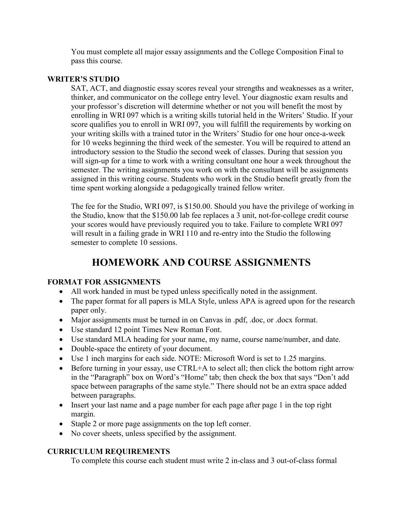You must complete all major essay assignments and the College Composition Final to pass this course.

#### **WRITER'S STUDIO**

SAT, ACT, and diagnostic essay scores reveal your strengths and weaknesses as a writer, thinker, and communicator on the college entry level. Your diagnostic exam results and your professor's discretion will determine whether or not you will benefit the most by enrolling in WRI 097 which is a writing skills tutorial held in the Writers' Studio. If your score qualifies you to enroll in WRI 097, you will fulfill the requirements by working on your writing skills with a trained tutor in the Writers' Studio for one hour once-a-week for 10 weeks beginning the third week of the semester. You will be required to attend an introductory session to the Studio the second week of classes. During that session you will sign-up for a time to work with a writing consultant one hour a week throughout the semester. The writing assignments you work on with the consultant will be assignments assigned in this writing course. Students who work in the Studio benefit greatly from the time spent working alongside a pedagogically trained fellow writer.

The fee for the Studio, WRI 097, is \$150.00. Should you have the privilege of working in the Studio, know that the \$150.00 lab fee replaces a 3 unit, not-for-college credit course your scores would have previously required you to take. Failure to complete WRI 097 will result in a failing grade in WRI 110 and re-entry into the Studio the following semester to complete 10 sessions.

# **HOMEWORK AND COURSE ASSIGNMENTS**

#### **FORMAT FOR ASSIGNMENTS**

- All work handed in must be typed unless specifically noted in the assignment.
- The paper format for all papers is MLA Style, unless APA is agreed upon for the research paper only.
- Major assignments must be turned in on Canvas in .pdf, .doc, or .docx format.
- Use standard 12 point Times New Roman Font.
- Use standard MLA heading for your name, my name, course name/number, and date.
- Double-space the entirety of your document.
- Use 1 inch margins for each side. NOTE: Microsoft Word is set to 1.25 margins.
- Before turning in your essay, use CTRL+A to select all; then click the bottom right arrow in the "Paragraph" box on Word's "Home" tab; then check the box that says "Don't add space between paragraphs of the same style." There should not be an extra space added between paragraphs.
- Insert your last name and a page number for each page after page 1 in the top right margin.
- Staple 2 or more page assignments on the top left corner.
- No cover sheets, unless specified by the assignment.

#### **CURRICULUM REQUIREMENTS**

To complete this course each student must write 2 in-class and 3 out-of-class formal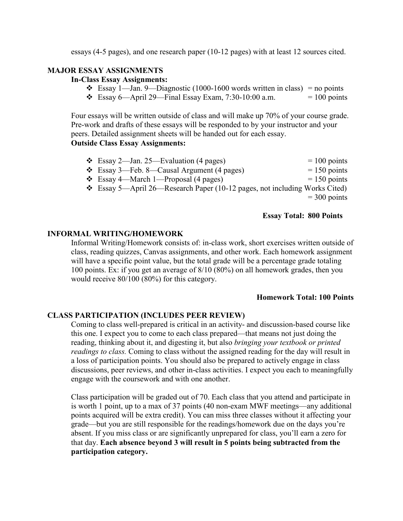essays (4-5 pages), and one research paper (10-12 pages) with at least 12 sources cited.

### **MAJOR ESSAY ASSIGNMENTS**

#### **In-Class Essay Assignments:**

- Essay 1—Jan. 9—Diagnostic (1000-1600 words written in class) = no points
- Essay 6—April 29—Final Essay Exam, 7:30-10:00 a.m.  $= 100$  points

Four essays will be written outside of class and will make up 70% of your course grade. Pre-work and drafts of these essays will be responded to by your instructor and your peers. Detailed assignment sheets will be handed out for each essay.

#### **Outside Class Essay Assignments:**

| $\div$ Essay 2—Jan. 25—Evaluation (4 pages)                                     | $= 100$ points |
|---------------------------------------------------------------------------------|----------------|
| $\div$ Essay 3—Feb. 8—Causal Argument (4 pages)                                 | $= 150$ points |
| $\div$ Essay 4—March 1—Proposal (4 pages)                                       | $= 150$ points |
| $\div$ Essay 5—April 26—Research Paper (10-12 pages, not including Works Cited) |                |
|                                                                                 | $=$ 300 points |

#### **Essay Total: 800 Points**

#### **INFORMAL WRITING/HOMEWORK**

Informal Writing/Homework consists of: in-class work, short exercises written outside of class, reading quizzes, Canvas assignments, and other work. Each homework assignment will have a specific point value, but the total grade will be a percentage grade totaling 100 points. Ex: if you get an average of 8/10 (80%) on all homework grades, then you would receive 80/100 (80%) for this category.

#### **Homework Total: 100 Points**

#### **CLASS PARTICIPATION (INCLUDES PEER REVIEW)**

Coming to class well-prepared is critical in an activity- and discussion-based course like this one. I expect you to come to each class prepared—that means not just doing the reading, thinking about it, and digesting it, but also *bringing your textbook or printed readings to class.* Coming to class without the assigned reading for the day will result in a loss of participation points. You should also be prepared to actively engage in class discussions, peer reviews, and other in-class activities. I expect you each to meaningfully engage with the coursework and with one another.

Class participation will be graded out of 70. Each class that you attend and participate in is worth 1 point, up to a max of 37 points (40 non-exam MWF meetings—any additional points acquired will be extra credit). You can miss three classes without it affecting your grade—but you are still responsible for the readings/homework due on the days you're absent. If you miss class or are significantly unprepared for class, you'll earn a zero for that day. **Each absence beyond 3 will result in 5 points being subtracted from the participation category.**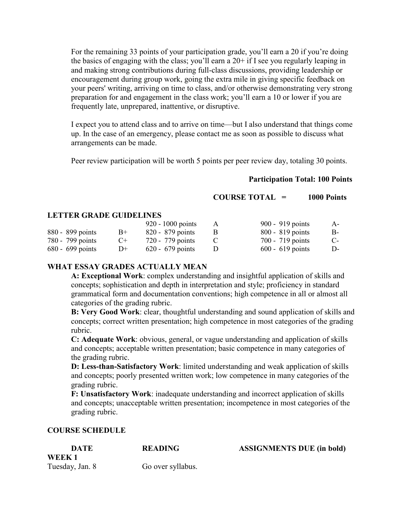For the remaining 33 points of your participation grade, you'll earn a 20 if you're doing the basics of engaging with the class; you'll earn a  $20+$  if I see you regularly leaping in and making strong contributions during full-class discussions, providing leadership or encouragement during group work, going the extra mile in giving specific feedback on your peers' writing, arriving on time to class, and/or otherwise demonstrating very strong preparation for and engagement in the class work; you'll earn a 10 or lower if you are frequently late, unprepared, inattentive, or disruptive.

I expect you to attend class and to arrive on time—but I also understand that things come up. In the case of an emergency, please contact me as soon as possible to discuss what arrangements can be made.

Peer review participation will be worth 5 points per peer review day, totaling 30 points.

#### **Participation Total: 100 Points**

**COURSE TOTAL = 1000 Points**

#### **LETTER GRADE GUIDELINES**

|                    |        | 920 - 1000 points  | A | 900 - 919 points   | $A-$  |
|--------------------|--------|--------------------|---|--------------------|-------|
| 880 - 899 points   | $B+$   | 820 - 879 points   |   | $800 - 819$ points | B-    |
| 780 - 799 points   | $($ +  | 720 - 779 points   |   | 700 - 719 points   | $C$ - |
| $680 - 699$ points | $1) +$ | $620 - 679$ points |   | $600 - 619$ points | D-    |

#### **WHAT ESSAY GRADES ACTUALLY MEAN**

**A: Exceptional Work**: complex understanding and insightful application of skills and concepts; sophistication and depth in interpretation and style; proficiency in standard grammatical form and documentation conventions; high competence in all or almost all categories of the grading rubric.

**B: Very Good Work**: clear, thoughtful understanding and sound application of skills and concepts; correct written presentation; high competence in most categories of the grading rubric.

**C: Adequate Work**: obvious, general, or vague understanding and application of skills and concepts; acceptable written presentation; basic competence in many categories of the grading rubric.

**D: Less-than-Satisfactory Work**: limited understanding and weak application of skills and concepts; poorly presented written work; low competence in many categories of the grading rubric.

**F: Unsatisfactory Work**: inadequate understanding and incorrect application of skills and concepts; unacceptable written presentation; incompetence in most categories of the grading rubric.

#### **COURSE SCHEDULE**

| <b>DATE</b>     | <b>READING</b>    | <b>ASSIGNMENTS DUE (in bold)</b> |
|-----------------|-------------------|----------------------------------|
| WEEK 1          |                   |                                  |
| Tuesday, Jan. 8 | Go over syllabus. |                                  |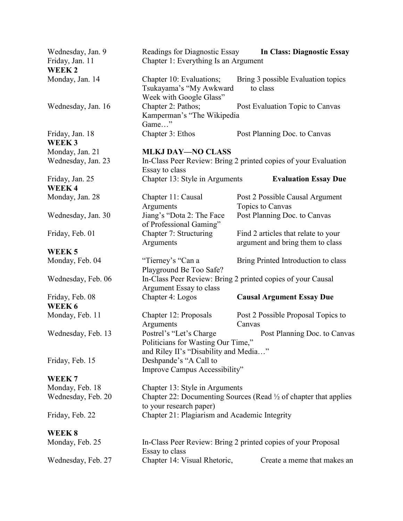| Wednesday, Jan. 9<br>Friday, Jan. 11<br><b>WEEK2</b> | Chapter 1: Everything Is an Argument                                                                                                    | Readings for Diagnostic Essay In Class: Diagnostic Essay        |  |
|------------------------------------------------------|-----------------------------------------------------------------------------------------------------------------------------------------|-----------------------------------------------------------------|--|
| Monday, Jan. 14                                      | Chapter 10: Evaluations;<br>Tsukayama's "My Awkward<br>Week with Google Glass"                                                          | Bring 3 possible Evaluation topics<br>to class                  |  |
| Wednesday, Jan. 16                                   | Chapter 2: Pathos;<br>Kamperman's "The Wikipedia<br>Game"                                                                               | Post Evaluation Topic to Canvas                                 |  |
| Friday, Jan. 18<br>WEEK 3                            | Chapter 3: Ethos                                                                                                                        | Post Planning Doc. to Canvas                                    |  |
| Monday, Jan. 21                                      | <b>MLKJ DAY-NO CLASS</b>                                                                                                                |                                                                 |  |
| Wednesday, Jan. 23                                   | Essay to class                                                                                                                          | In-Class Peer Review: Bring 2 printed copies of your Evaluation |  |
| Friday, Jan. 25<br><b>WEEK4</b>                      | Chapter 13: Style in Arguments                                                                                                          | <b>Evaluation Essay Due</b>                                     |  |
|                                                      |                                                                                                                                         |                                                                 |  |
| Monday, Jan. 28                                      | Chapter 11: Causal                                                                                                                      | Post 2 Possible Causal Argument                                 |  |
|                                                      | Arguments                                                                                                                               | Topics to Canvas                                                |  |
| Wednesday, Jan. 30                                   | Jiang's "Dota 2: The Face<br>of Professional Gaming"                                                                                    | Post Planning Doc. to Canvas                                    |  |
| Friday, Feb. 01                                      | Chapter 7: Structuring                                                                                                                  | Find 2 articles that relate to your                             |  |
|                                                      | Arguments                                                                                                                               | argument and bring them to class                                |  |
| WEEK <sub>5</sub>                                    |                                                                                                                                         |                                                                 |  |
| Monday, Feb. 04                                      | "Tierney's "Can a<br>Playground Be Too Safe?                                                                                            | Bring Printed Introduction to class                             |  |
| Wednesday, Feb. 06                                   | Argument Essay to class                                                                                                                 | In-Class Peer Review: Bring 2 printed copies of your Causal     |  |
| Friday, Feb. 08<br>WEEK 6                            | Chapter 4: Logos                                                                                                                        | <b>Causal Argument Essay Due</b>                                |  |
| Monday, Feb. 11                                      | Chapter 12: Proposals<br>Arguments                                                                                                      | Post 2 Possible Proposal Topics to<br>Canvas                    |  |
| Wednesday, Feb. 13                                   | Postrel's "Let's Charge"<br>Post Planning Doc. to Canvas<br>Politicians for Wasting Our Time,"<br>and Riley II's "Disability and Media" |                                                                 |  |
| Friday, Feb. 15                                      | Deshpande's "A Call to<br>Improve Campus Accessibility"                                                                                 |                                                                 |  |
| WEEK <sub>7</sub>                                    |                                                                                                                                         |                                                                 |  |
| Monday, Feb. 18                                      | Chapter 13: Style in Arguments                                                                                                          |                                                                 |  |
| Wednesday, Feb. 20                                   | Chapter 22: Documenting Sources (Read 1/2 of chapter that applies<br>to your research paper)                                            |                                                                 |  |
| Friday, Feb. 22                                      | Chapter 21: Plagiarism and Academic Integrity                                                                                           |                                                                 |  |
| <b>WEEK 8</b>                                        |                                                                                                                                         |                                                                 |  |
| Monday, Feb. 25                                      | Essay to class                                                                                                                          | In-Class Peer Review: Bring 2 printed copies of your Proposal   |  |
| Wednesday, Feb. 27                                   | Chapter 14: Visual Rhetoric,                                                                                                            | Create a meme that makes an                                     |  |